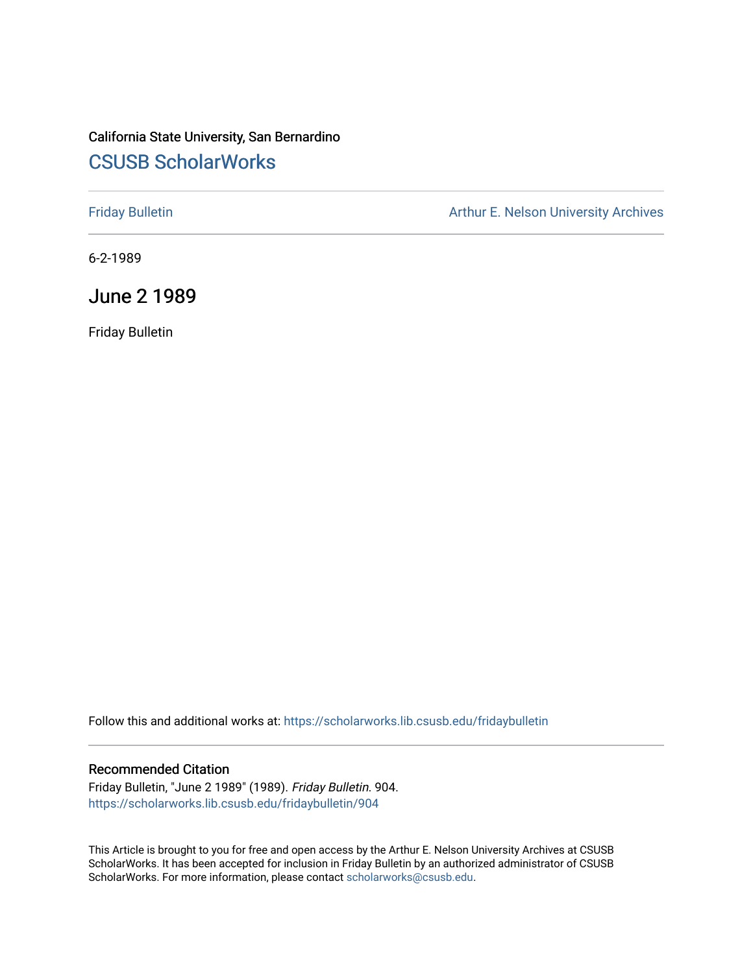## California State University, San Bernardino [CSUSB ScholarWorks](https://scholarworks.lib.csusb.edu/)

[Friday Bulletin](https://scholarworks.lib.csusb.edu/fridaybulletin) **Arthur E. Nelson University Archives** Arthur E. Nelson University Archives

6-2-1989

June 2 1989

Friday Bulletin

Follow this and additional works at: [https://scholarworks.lib.csusb.edu/fridaybulletin](https://scholarworks.lib.csusb.edu/fridaybulletin?utm_source=scholarworks.lib.csusb.edu%2Ffridaybulletin%2F904&utm_medium=PDF&utm_campaign=PDFCoverPages)

### Recommended Citation

Friday Bulletin, "June 2 1989" (1989). Friday Bulletin. 904. [https://scholarworks.lib.csusb.edu/fridaybulletin/904](https://scholarworks.lib.csusb.edu/fridaybulletin/904?utm_source=scholarworks.lib.csusb.edu%2Ffridaybulletin%2F904&utm_medium=PDF&utm_campaign=PDFCoverPages)

This Article is brought to you for free and open access by the Arthur E. Nelson University Archives at CSUSB ScholarWorks. It has been accepted for inclusion in Friday Bulletin by an authorized administrator of CSUSB ScholarWorks. For more information, please contact [scholarworks@csusb.edu.](mailto:scholarworks@csusb.edu)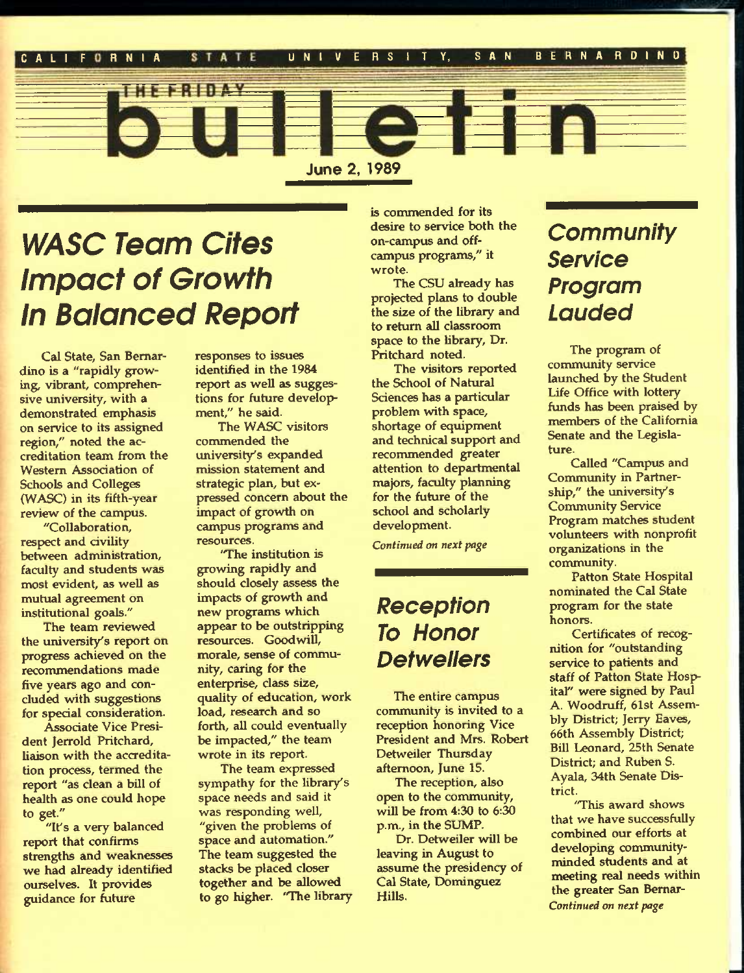

# *WASC Team Cites impact of Growtti in Baianced Report*

Cal State, San Bernardino is a "rapidly growing, vibrant, comprehensive university, with a demonstrated emphasis on service to its assigned region," noted the accreditation team from the Western Association of Schools and Colleges (WASC) in its fifth-year review of the campus.

"Collaboration, respect and civility between administration, faculty and students was most evident, as well as mutual agreement on institutional goals."

The team reviewed the university's report on progress achieved on the recommendations made five years ago and concluded with suggestions for special consideration.

Associate Vice President Jerrold Pritchard, liaison with the accreditation process, termed the report "as clean a bill of health as one could hope to get."

"It's a very balanced report that confirms strengths and weaknesses we had already identified ourselves. It provides guidance for future

responses to issues identified in the 1984 report as well as suggestions for future development," he said.

The WASC visitors commended the university's expanded mission statement and strategic plan, but expressed concern about the impact of growth on campus progranns and resources.

'The institution is growing rapidly and should closely assess the impacts of growth and new programs which appear to be outstripping resources. Goodwill, morale, sense of community, caring for the enterprise, class size, quality of education, work load, research and so forth, all could eventually be impacted," the team wrote in its report.

The team expressed sympathy for the library's space needs and said it was responding well, "given the problems of space and automation." The team suggested the stacks be placed closer together and be allowed to go higher. "The library is commended for its desire to service both the on-campus and offcampus programs," it wrote.

The CSU already has projected plans to double the size of the library and to return all classroom space to the library. Dr. Pritchard noted.

The visitors reported the School of Natural Sciences has a particular problem with space, shortage of equipment and technical support and recommended greater attention to departmental majors, faculty planning for the future of the school and scholarly development.

*Continued on next page* 

## *Reception To Honor Detwellers*

The entire campus community is invited to a reception honoring Vice President and Mrs. Robert Detweiler Thursday afternoon, June 15.

The reception, also open to the community, will be from 4:30 to 6:30 p.m., in the SUMP.

Dr. Detweiler will be leaving in August to assume the presidency of Cal State, Dominguez Hills.

# *Community Service Program Lauded*

The program of community service launched by the Student Life Office with lottery funds has been praised by members of the California Senate and the Legislature.

Called "Campus and Community in Partnership," the university's **Community Service** Program matches student volunteers with nonprofit organizations in the community.

Patton State Hospital nominated the Cal State program for the state honors.

Certificates of recognition for "outstanding service to patients and staff of Patton State Hospital" were signed by Paul A. Woodruff, 61st Assembly District; Jerry Eaves, 66th Assembly District; Bill Leonard, 25th Senate District; and Ruben S. Ayala, 34th Senate District.

'This award shows that we have succesfully combined our efforts at developing communityminded students and at meeting real needs within the greater San Bemar-*Continued on next page*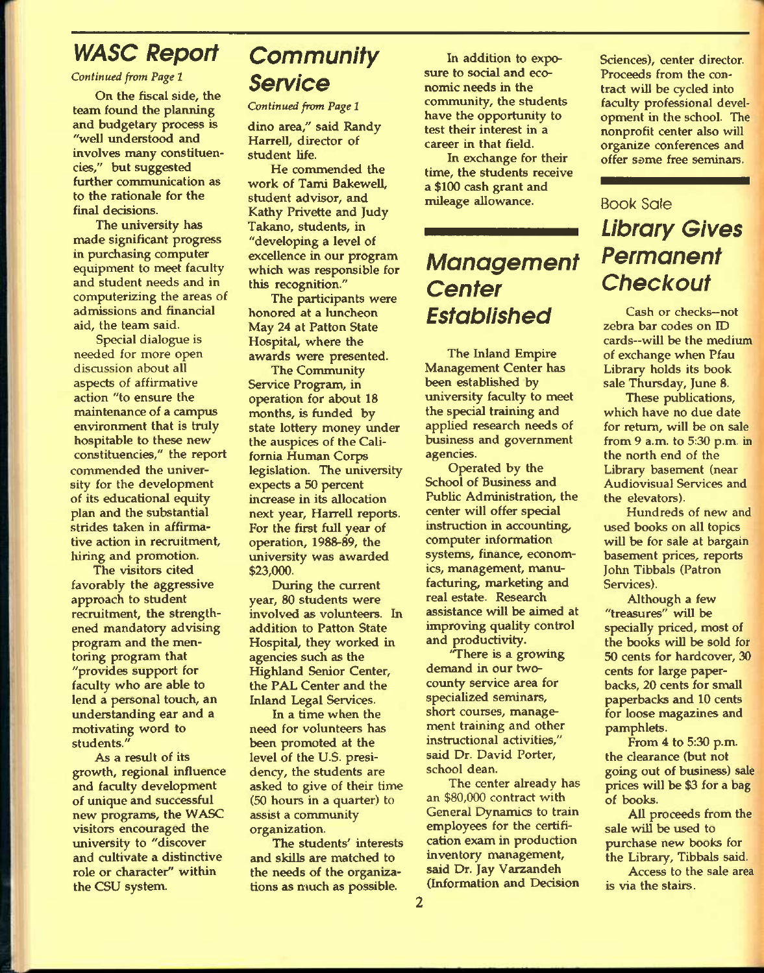## *WASC Report*

*Continued from Page 1* 

On the fiscal side, the team found the planning and budgetary process is "well understood and involves many constituencies," but suggested further communication as to the rationale for the final decisions.

The university has made significant progress in purchasing computer equipment to meet faculty and student needs and in computerizing the areas of admissions and financial aid, the team said.

Special dialogue is needed for more open discussion about all aspects of affirmative action "to ensure the maintenance of a campus environment that is truly hospitable to these new constituencies," the report commended the university for the development of its educational equity plan and the substantial strides taken in affirmative action in recruitment, hiring and promotion.

The visitors cited favorably the aggressive approach to student recruitment, the strengthened mandatory advising program and the mentoring program that "provides support for faculty who are able to lend a personal touch, an understanding ear and a motivating word to students."

As a result of its growth, regional influence and faculty development of unique and successful new programs, the WASC visitors encouraged the university to "discover and cultivate a distinctive role or character" within the CSU system.

## *Community Service*

*Continued from Page 1* 

dino area," said Randy Harrell, director of student life.

He commended the work of Tami Bakewell, student advisor, and Kathy Privette and Judy Takano, students, in "developing a level of excellence in our program which was responsible for this recognition."

The participants were honored at a luncheon May 24 at Patton State Hospital, where the awards were presented.

The Community Service Program, in operation for about 18 months, is funded by state lottery money under the auspices of the California Human Corps legislation. The university expects a 50 percent increase in its allocation next year, Harrell reports. For the first full year of operation, 1988-89, the university was awarded \$23,000.

During the current year, 80 students were involved as volunteers. In addition to Patton State Hospital, they worked in agencies such as the Highland Senior Center, the PAL Center and the Inland Legal Services.

In a time when the need for volunteers has been promoted at the level of the U.S. presidency, the students are asked to give of their time (50 hours in a quarter) to assist a community organization.

The students' interests and skills are matched to the needs of the organizations as much as possible.

In addition to exposure to social and economic needs in the community, the students have the opportunity to test their interest in a career in that field.

In exchange for their time, the students receive a \$100 cash grant and mileage allowance.

## *Management Center Established*

The Inland Empire Management Center has been established by university faculty to meet the special training and applied research needs of business and government agencies.

Operated by the School of Business and Public Administration, the center will offer special instruction in accounting, computer information systems, finance, economics, management, manufacturing, marketing and real estate. Research assistance will be aimed at improving quality control and productivity.

'There is a growing demand in our twocounty service area for specialized seminars, short courses, management training and other instructional activities," said Dr. David Porter, school dean.

The center already has an \$80,000 contract with General Dynamics to train employees for the certification exam in production inventory management, said Dr. Jay Varzandeh (Information and Decision

Sciences), center director. Proceeds from the contract will be cycled into faculty professional development in the school. The nonprofit center also will organize conferences and offer some free seminars.

## **Book Sale**  *Library Gives Permanent Checkout*

Cash or checks—not zebra bar codes on ID cards—will be the medium of exchange when Pfau Library holds its book sale Thursday, June 8.

These publications, which have no due date for return, will be on sale from 9 a.m. to 5:30 p.m. in the north end of the Library basement (near Audiovisual Services and the elevators).

Hundreds of new and used books on all topics will be for sale at bargain basement prices, reports John Tibbals (Patron Services).

Although a few "treasures" will be specially priced, most of the books will be sold for 50 cents for hardcover, 30 cents for large paperbacks, 20 cents for small paperbacks and 10 cents for loose magazines and pamphlets.

From 4 to 5:30 p.m. the clearance (but not going out of business) sale prices will be \$3 for a bag of books.

All proceeds from the sale will be used to purchase new books for the Library, Tibbals said.

Access to the sale area is via the stairs.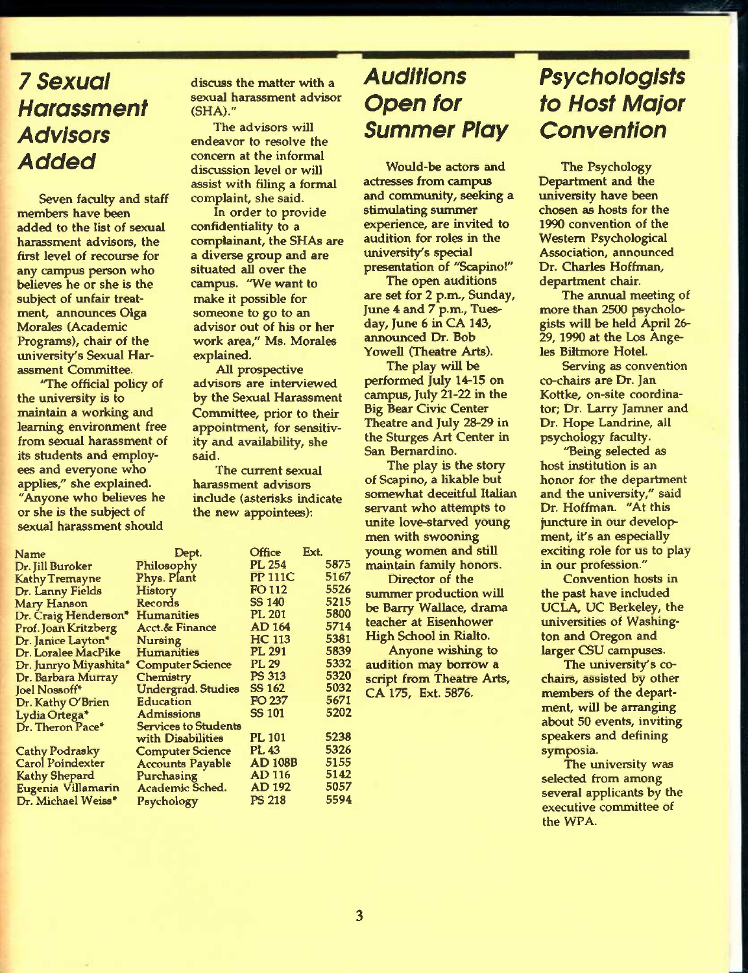## **7** *Sexual Harassment Advisors Added*

Seven faculty and staff members have been added to the list of sexual harassment advisors, the first level of recourse for any campus person who believes he or she is the subject of unfair treatment, announces Olga Morales (Academic Programs), chair of the university's Sexual Harassment Committee.

'The official policy of the university is to maintain a working and learning environment free from sexual harassment of its students and employees and everyone who applies," she explained. "Amyone who believes he or she is the subject of sexual harassment should

Name Dr. Jill Bu Kathy Tre Dr. Lann Mary Hanson Dr. Craig Henderson\* Prof. Joan Dr. Janice Dr. Loral Dr. Junry Dr. Barba **Joel Noss** Dr. Kathy Lydia Or Dr. There

Cathy Po Carol Po **Kathy Sh** Eugenia Dr. Mich

discuss the matter with a sexual harassment advisor (SHA)."

The advisors will endeavor to resolve the concern at the informal discussion level or will assist with filing a formal complaint, she said.

In order to provide confidentiality to a complainant, the SHAs are a diverse group and are situated all over the campus. "We want to make it possible for someone to go to an advisor out of his or her work area," Ms. Morales explained.

All prospective advisors are interviewed by the Sexual Harassment Committee, prior to their appointment, for sensitivity and availability, she said.

The current sexual harassment advisors include (asterisks indicate the new appointees):

|              | Dept.                       | <b>Office</b>  | Ext. |
|--------------|-----------------------------|----------------|------|
| ıroker       | Philosophy                  | PL 254         | 5875 |
| emayne       | Phys. Plant                 | <b>PP 111C</b> | 5167 |
| y Fields     | <b>History</b>              | FO 112         | 5526 |
| nson         | Records                     | <b>SS 140</b>  | 5215 |
| Henderson"   | <b>Humanities</b>           | <b>PL 201</b>  | 5800 |
| Kritzberg    | <b>Acct.&amp; Finance</b>   | <b>AD 164</b>  | 5714 |
| e Layton*    | Nursing                     | HC 113         | 5381 |
| ee MacPike   | <b>Humanities</b>           | <b>PL 291</b>  | 5839 |
| o Miyashita* | <b>Computer Science</b>     | <b>PL 29</b>   | 5332 |
| ira Murray   | Chemistry                   | <b>PS 313</b>  | 5320 |
| off*         | <b>Undergrad. Studies</b>   | SS 162         | 5032 |
| y O'Brien    | Education                   | FO 237         | 5671 |
| tega*        | Admissions                  | <b>SS 101</b>  | 5202 |
| on Pace*     | <b>Services to Students</b> |                |      |
|              | with Disabilities           | PL 101         | 5238 |
| drasky       | <b>Computer Science</b>     | PL 43          | 5326 |
| indexter     | <b>Accounts Payable</b>     | <b>AD 108B</b> | 5155 |
| epard        | Purchasing                  | <b>AD 116</b>  | 5142 |
| Villamarin   | Academic Sched.             | <b>AD 192</b>  | 5057 |
| ael Weiss*   | Psychology                  | <b>PS 218</b>  | 5594 |
|              |                             |                |      |

## *Auditions Open for Summer Play*

Would-be actors and actresses from campus and community, seeking a stimulating summer experience, are invited to audition for roles in the university's special presentation of "Scapino!"

The open auditions are set for 2 p.m., Sunday, June 4 and 7 p.m., Tuesday, June 6 in CA 143, announced Dr. Bob Yowell (Theatre Arts).

The play will be performed July 14-15 on campus, July 21-22 in the Big Bear Civic Center Theatre and July 28-29 in the Sturges Art Center in San Bernardino.

The play is the story of Scapino, a likable but somewhat deceitful Italian servant who attempts to unite love-starved young men with swooning young women and still maintain family honors.

Director of the summer production will be Barry Wallace, drama teacher at Eisenhower High School in Rialto.

Anyone wishing to audition may borrow a script from Theatre Arts, CA175, Ext. 5876.

# *Psychologists to Host Major Convention*

The Psychology Department and the university have been chosen as hosts for the 1990 convention of the Western Psychological Association, announced Dr. Charles Hoffman, department chair.

The annual meeting of more than 2500 psychologists will be held April 26- 29,1990 at the Los Angeles Biltmore Hotel.

Serving as convention co-chairs are Dr. Jan Kottke, on-site coordinator; Dr. Larry Jamner and Dr. Hope Landrine, all psychology faculty.

"Being selected as host institution is an honor for the department and the university," said Dr. Hoffman. "At this juncture in our development, it's an especially exciting role for us to play in our profession."

Convention hosts in the past have included UCLA, UC Berkeley, the universities of Washington and Oregon and larger CSU campuses.

The university's cochairs, assisted by other members of the department, will be arranging about 50 events, inviting speakers and defining symposia.

The university was selected from among several applicants by the executive committee of the WPA.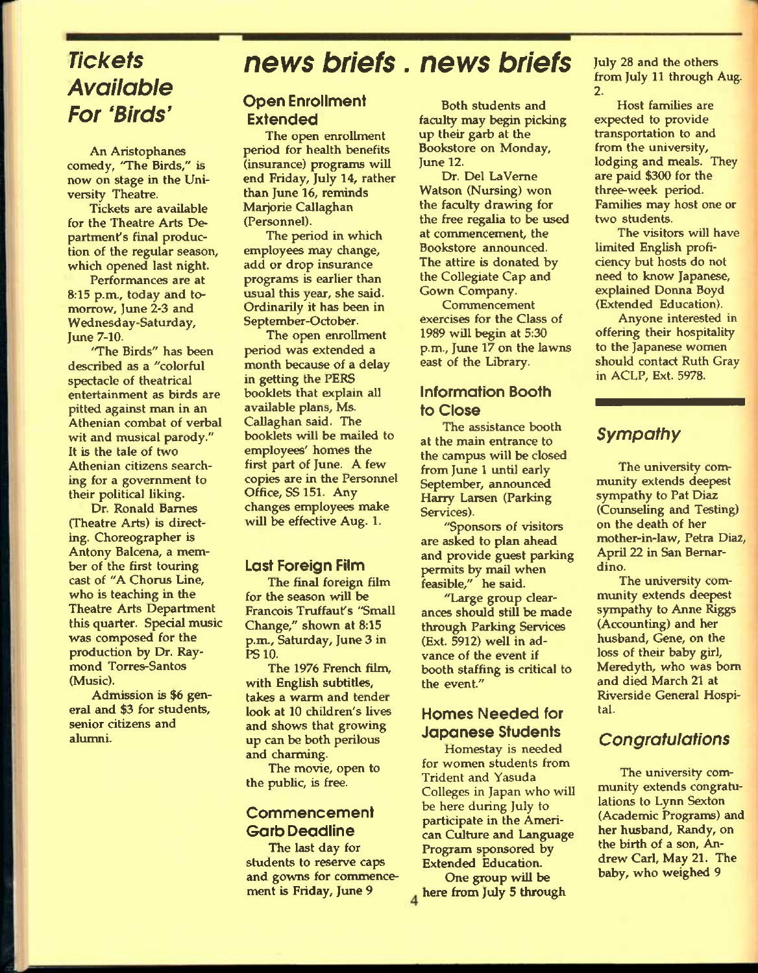## *Tickets Available For 'Birds'*

An Aristophanes comedy, 'The Birds," is now on stage in the University Theatre.

Tickets are available for the Theatre Arts Department's final production of the regular season, which opened last night.

Performances are at 8:15 p.m., today and tomorrow, June 2-3 and Wednesday-Saturday, June 7-10.

'The Birds" *has* been described as a "colorful spectacle of theatrical entertainment as birds are pitted against man in an Athenian combat of verbal wit and musical parody." It is the tale of two Athenian citizens searching for a government to their political liking.

Dr. Ronald Barnes (Theatre Arts) is directing. Choreographer is Antony Balcena, a member of the first touring cast of "A Chorus Line, who is teaching in the Theatre Arts Department this quarter. Special music was composed for the production by Dr. Raymond Torres-Santos (Music).

Admission is \$6 general and \$3 for students, senior citizens and alumni.

# *news briefs. news briefs*

### Open Enrollment Extended

The open enrollment period for health benefits (insurance) programs will end Friday, July 14, rather than June 16, reminds Marjorie Callaghan (Personnel).

The period in which employees may change, add or drop insurance programs is earlier than usual this year, she said. Ordinarily it has been in September-October.

The open enrollment period was extended a month because of a delay in getting the PERS booklets that explain all available plans, Ms. Callaghan said. The booklets will be mailed to employees' homes the first part of June. A few copies are in the Personnel Office, SS 151. Any changes employees make will be effective Aug. 1.

#### Last Foreign Film

The final foreign film for the season will be Francois Truffaufs "Small Change," shown at 8:15 p.m., Saturday, June 3 in PS 10.

The 1976 French film, with English subtitles, takes a warm and tender look at 10 children's lives and shows that growing up can be both perilous and charming.

The movie, open to the public, is free.

### Commencement Garb Deadline

The last day for students to reserve caps and gowns for commencement is Friday, June 9

Both students and faculty may begin picking up their garb at the Bookstore on Monday, June 12.

Dr. Del LaVeme Watson (Nursing) won the faculty drawing for the free regalia to be used at commencement, the Bookstore announced. The attire is donated by the Collegiate Cap and Gown Company.

Commencement exercises for the Class of 1989 will begin at 5:30 p.m., June 17 on the lawns east of the Library.

### Information Booth to Close

The assistance booth at the main entrance to the campus will be closed from June 1 until early September, announced Harry Larsen (Parking Services).

"Sponsors of visitors are asked to plan ahead and provide guest parking permits by mail when feasible," he said.

"Large group clearances should still be made through Parking Services (Ext. 5912) well in advance of the event if booth staffing is critical to the event."

### Homes Needed for Japanese Students

Homestay is needed for women students from Trident and Yasuda Colleges in Japan who will be here during July to participate in the American Culture and Language Program sponsored by Extended Education.

One group will be 4 here from July 5 through July 28 and the others from July 11 through Aug. **2.** 

Host families are expected to provide transportation to and from the university, lodging and meals. They are paid \$300 for the three-week period. Families may host one or two students.

The visitors will have limited English proficiency but hosts do not need to know Japanese, explained Donna Boyd (Extended Education).

Anyone interested in offering their hospitality to the Japanese women should contact Ruth Gray in ACLP, Ext. 5978.

## *Sympathy*

The university community extends deepest sympathy to Pat Diaz (Counseling and Testing) on the death of her mother-in-law, Petra Diaz, April 22 in San Bernardino.

The university community extends deepest sympathy to Anne Riggs (Accounting) and her husband, Gene, on the loss of their baby girl, Meredyth, who was bom and died March 21 at Riverside General Hospital.

## *Congratulations*

The university community extends congratulations to Lynn Sexton (Academic Programs) and her husband. Randy, on the birth of a son, Andrew Carl, May 21. The baby, who weighed 9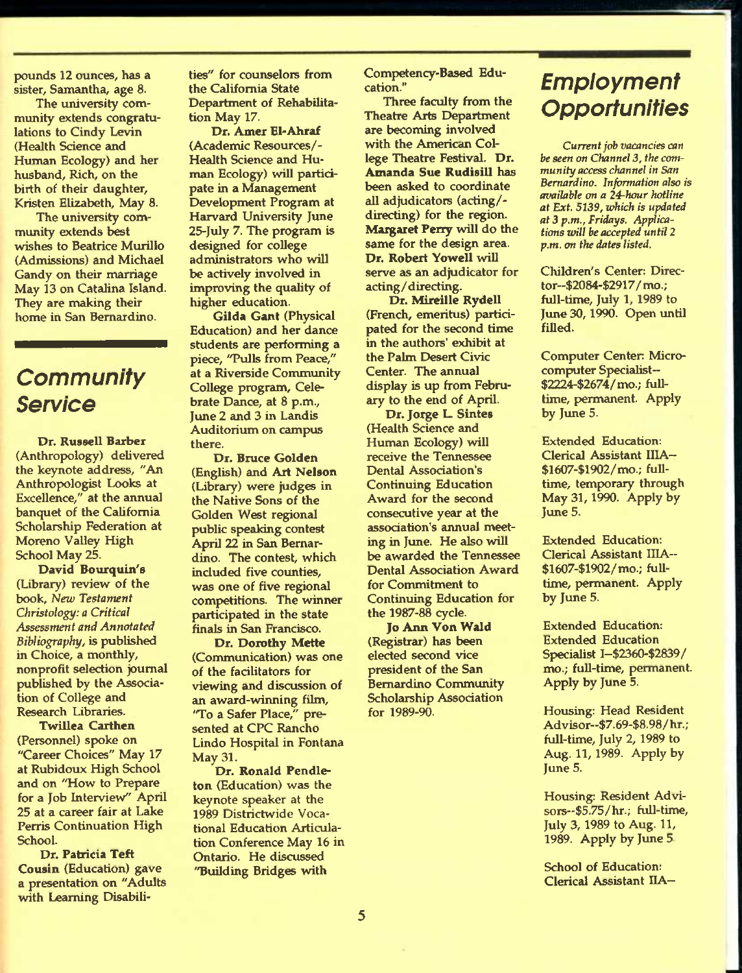pounds 12 ounces, has a sister, Samantha, age 8.

The university community extends congratulations to Cindy Levin (Health Science and Human Ecology) and her husband. Rich, on the birth of their daughter, Kristen Elizabeth, May 8.

The university community extends best wishes to Beatrice Murillo (Admissions) and Michael Gandy on their marriage May 13 on Catalina Island. They are making their home in San Bernardino.

## *Community Service*

Dr. Russell Barber (Anthropology) delivered the keynote address, "An Anthropologist Looks at Excellence," at the annual banquet of the Califomia Scholarship Federation at Moreno Valley High School May 25.

David Bourquin's (Library) review of the book, *Neiv Testament Christology: a Critical Assessment and Annotated Bibliography,* is published in Choice, a monthly, nonprofit selection journal published by the Association of College and Research Libraries.

Twillea Carthen (Personnel) spoke on "Career Choices" May 17 at Rubidoux High School and on "How to Prepare for a Job Interview" April 25 at a career fair at Lake Perris Continuation High School.

Dr. Patricia Teft Cousin (Education) gave a presentation on "Advilts with Learning Disabilities" for counselors from the California State Department of Rehabilitation May 17.

Dr. Amer El-Ahraf (Academic Resources/- Health Science and Human Ecology) will participate in a Management Development Program at Harvard University June 25-July 7. The program is designed for college administrators who will be actively involved in improving the quality of higher education.

Gilda Cant (Physical Education) and her dance students are performing a piece, "Pulls from Peace," at a Riverside Community College program. Celebrate Dance, at 8 p.m., June 2 and 3 in Landis Auditorium on campus there.

Dr. Bruce Golden (English) and Art Nelson (Library) were judges in the Native Sons of the Golden West regional public speaking contest April 22 in San Bernardino. The contest, which included five counties, was one of five regional competitions. The winner participated in the state finals in San Francisco.

Dr. Dorothy Mette (Communication) was one of the facilitators for viewing and discussion of an award-winning film, 'To a Safer Place," presented at CPC Rancho Lindo Hospital in Fontana May 31.

Dr. Ronald Pendleton (Education) was the keynote speaker at the 1989 Districtwide Vocational Education Articulation Conference May 16 in Ontario. He discussed "Building Bridges with

Competency-Based Education."

Three faculty from the Theatre Arts Department are becoming involved with the American College Theatre Festival. Dr. Amanda Sue Rudisill has been asked to coordinate all adjudicators (acting/ directing) for the region. Margaret Perry will do the same for the design area. Dr. Robert Yowell will serve as an adjudicator for acting/directing.

Dr. Mireille Rydell (French, emeritus) participated for the second time in the authors' exhibit at the Palm Desert Civic Center. The annual display is up from February to the end of April.

Dr. Jorge L. Sintes (Health Science and Human Ecology) will receive the Tennessee Dental Association's Continuing Education Award for the second consecutive year at the association's annual meeting in June. He also will be awarded the Tennessee Dental Association Award for Commitment to Continuing Education for the 1987-88 cycle.

Jo Ann Von Wald (Registrar) has been elected second vice president of the San Bemardino Community Scholarship Association for 1989-90.

## *Employment Opportunities*

*Current jab vacancies can be seen on Channel 3, the community access channel in San Bemardino. Information also is available on a 24-hour hotline at Ext. 5139, which is updated at 3 p.m., Fridays. Applications will be accepted until 2 p.m. on the dates listed.* 

Children's Center: Director~\$2084-\$2917/mo.; full-time, July 1,1989 to June 30,1990. Open until filled.

Computer Center Microcomputer Specialist— \$2224-\$2674/mo.; fulltime, permanent. Apply by June 5.

Extended Education: Clerical Assistant IIIA— \$1607-\$1902/mo.; fuUtime, temporary through May 31,1990. Apply by June 5.

Extended Education: Clerical Assistant IIIA— \$1607-\$1902/mo.; fuUtime, permanent. Apply by June 5.

Extended Education: Extended Education Specialist I~\$2360-\$2839/ mo.; full-time, permanent. Apply by June 5.

Housing: Head Resident Advisor—\$7.69-\$8.98/hr.; full-time, July 2, 1989 to Aug. 11,1989. Apply by June 5.

Housing: Resident Advisors—\$5.75/hr.; full-time, July 3, 1989 to Aug. 11, 1989. Apply by June 5

School of Education: Clerical Assistant HA-